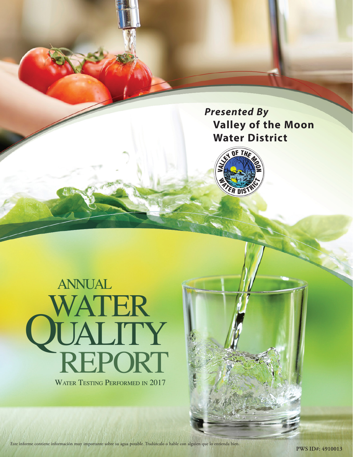## *Presented By*  **Valley of the Moon Water District**



# WATER TESTING PERFORMED IN 2017 WATER QUALITY<br>REPORT annual

Este informe contiene información muy importante sobre su agua potable. Tradúzcalo o hable con alguien que lo entienda bien.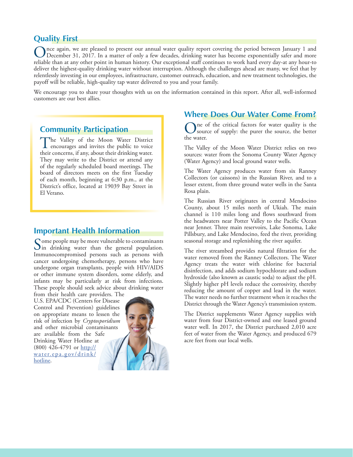## **Quality First**

Once again, we are pleased to present our annual water quality report covering the period between January 1 and<br>December 31, 2017. In a matter of only a few decades, drinking water has become exponentially safer and more reliable than at any other point in human history. Our exceptional staff continues to work hard every day-at any hour-to deliver the highest-quality drinking water without interruption. Although the challenges ahead are many, we feel that by relentlessly investing in our employees, infrastructure, customer outreach, education, and new treatment technologies, the payoff will be reliable, high-quality tap water delivered to you and your family.

We encourage you to share your thoughts with us on the information contained in this report. After all, well-informed customers are our best allies.

## **Community Participation**

The Valley of the Moon Water District<br>
encourages and invites the public to voice<br>
their concerns if any chause heir drieding context their concerns, if any, about their drinking water. They may write to the District or attend any of the regularly scheduled board meetings. The board of directors meets on the first Tuesday of each month, beginning at 6:30 p.m., at the District's office, located at 19039 Bay Street in El Verano.

## **Important Health Information**

Some people may be more vulnerable to contaminants<br>in drinking water than the general population. Immunocompromised persons such as persons with cancer undergoing chemotherapy, persons who have undergone organ transplants, people with HIV/AIDS or other immune system disorders, some elderly, and infants may be particularly at risk from infections. These people should seek advice about drinking water from their health care providers. The

U.S. EPA/CDC (Centers for Disease Control and Prevention) guidelines on appropriate means to lessen the risk of infection by *Cryptosporidium* and other microbial contaminants are available from the Safe Drinking Water Hotline at  $(800)$  426-4791 or [http://](http://water.epa.gov/drink/hotline) [water.epa.gov/drink/](http://water.epa.gov/drink/hotline) [hotline](http://water.epa.gov/drink/hotline).



## **Where Does Our Water Come From?**

One of the critical factors for water quality is the source of supply: the purer the source, the better the water.

The Valley of the Moon Water District relies on two sources: water from the Sonoma County Water Agency (Water Agency) and local ground water wells.

The Water Agency produces water from six Ranney Collectors (or caissons) in the Russian River, and to a lesser extent, from three ground water wells in the Santa Rosa plain.

The Russian River originates in central Mendocino County, about 15 miles north of Ukiah. The main channel is 110 miles long and flows southward from the headwaters near Potter Valley to the Pacific Ocean near Jenner. Three main reservoirs, Lake Sonoma, Lake Pillsbury, and Lake Mendocino, feed the river, providing seasonal storage and replenishing the river aquifer.

The river streambed provides natural filtration for the water removed from the Ranney Collectors. The Water Agency treats the water with chlorine for bacterial disinfection, and adds sodium hypochlorate and sodium hydroxide (also known as caustic soda) to adjust the pH. Slightly higher pH levels reduce the corrosivity, thereby reducing the amount of copper and lead in the water. The water needs no further treatment when it reaches the District through the Water Agency's transmission system.

The District supplements Water Agency supplies with water from four District-owned and one leased ground water well. In 2017, the District purchased 2,010 acre feet of water from the Water Agency, and produced 679 acre feet from our local wells.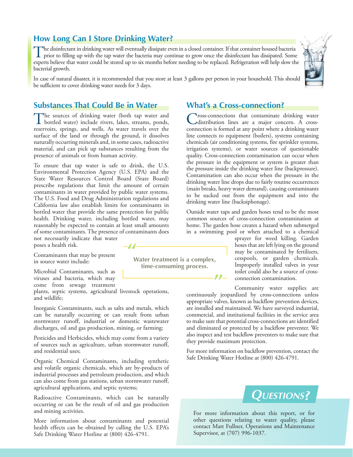## **How Long Can I Store Drinking Water?**

The disinfectant in drinking water will eventually dissipate even in a closed container. If that container housed bacteria<br>prior to filling up with the tap water the bacteria may continue to grow once the disinfectant has experts believe that water could be stored up to six months before needing to be replaced. Refrigeration will help slow the bacterial growth.

In case of natural disaster, it is recommended that you store at least 3 gallons per person in your household. This should be sufficient to cover drinking water needs for 3 days.

## **What's a Cross-connection?**

Cross-connections that contaminate drinking water<br>
distribution lines are a major concern. A cross-<br>
someonien is formed at any point where a drinking water connection is formed at any point where a drinking water line connects to equipment (boilers), systems containing chemicals (air conditioning systems, fire sprinkler systems, irrigation systems), or water sources of questionable quality. Cross-connection contamination can occur when the pressure in the equipment or system is greater than the pressure inside the drinking water line (backpressure). Contamination can also occur when the pressure in the drinking water line drops due to fairly routine occurrences (main breaks, heavy water demand), causing contaminants to be sucked out from the equipment and into the drinking water line (backsiphonage).

Outside water taps and garden hoses tend to be the most common sources of cross-connection contamination at home. The garden hose creates a hazard when submerged in a swimming pool or when attached to a chemical

> sprayer for weed killing. Garden hoses that are left lying on the ground may be contaminated by fertilizers, cesspools, or garden chemicals. Improperly installed valves in your toilet could also be a source of crossconnection contamination.

Community water supplies are continuously jeopardized by cross-connections unless appropriate valves, known as backflow prevention devices, are installed and maintained. We have surveyed industrial, commercial, and institutional facilities in the service area to make sure that potential cross-connections are identified and eliminated or protected by a backflow preventer. We also inspect and test backflow preventers to make sure that they provide maximum protection.

For more information on backflow prevention, contact the Safe Drinking Water Hotline at (800) 426-4791.



For more information about this report, or for other questions relating to water quality, please contact Matt Fullner, Operations and Maintenance Supervisor, at (707) 996-1037.

## **Substances That Could Be in Water**

The sources of drinking water (both tap water and bottled water) include rivers, lakes, streams, ponds, reservoirs, springs, and wells. As water travels over the surface of the land or through the ground, it dissolves naturally occurring minerals and, in some cases, radioactive material, and can pick up substances resulting from the presence of animals or from human activity.

To ensure that tap water is safe to drink, the U.S. Environmental Protection Agency (U.S. EPA) and the State Water Resources Control Board (State Board) prescribe regulations that limit the amount of certain contaminants in water provided by public water systems. The U.S. Food and Drug Administration regulations and California law also establish limits for contaminants in bottled water that provide the same protection for public health. Drinking water, including bottled water, may reasonably be expected to contain at least small amounts of some contaminants. The presence of contaminants does not necessarily indicate that water

poses a health risk.

Contaminants that may be present in source water include:

Microbial Contaminants, such as viruses and bacteria, which may come from sewage treatment

plants, septic systems, agricultural livestock operations, and wildlife;

Inorganic Contaminants, such as salts and metals, which can be naturally occurring or can result from urban stormwater runoff, industrial or domestic wastewater discharges, oil and gas production, mining, or farming;

Pesticides and Herbicides, which may come from a variety of sources such as agriculture, urban stormwater runoff, and residential uses;

Organic Chemical Contaminants, including synthetic and volatile organic chemicals, which are by-products of industrial processes and petroleum production, and which can also come from gas stations, urban stormwater runoff, agricultural applications, and septic systems;

Radioactive Contaminants, which can be naturally occurring or can be the result of oil and gas production and mining activities.

More information about contaminants and potential health effects can be obtained by calling the U.S. EPA's Safe Drinking Water Hotline at (800) 426-4791.

**Water treatment is a complex, time-consuming process.**

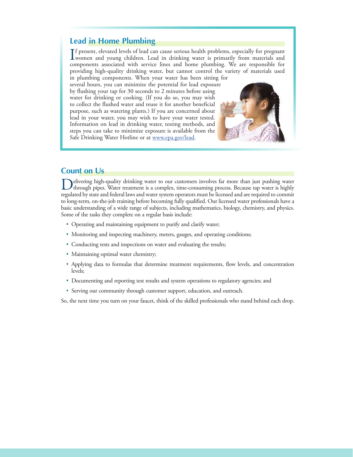## **Lead in Home Plumbing**

If present, elevated levels of lead can cause serious health problems, especially for pregnant<br>women and young children. Lead in drinking water is primarily from materials and<br>we also be a short in the weaken with the weak **T** f present, elevated levels of lead can cause serious health problems, especially for pregnant components associated with service lines and home plumbing. We are responsible for providing high-quality drinking water, but cannot control the variety of materials used in plumbing components. When your water has been sitting for

several hours, you can minimize the potential for lead exposure by flushing your tap for 30 seconds to 2 minutes before using water for drinking or cooking. (If you do so, you may wish to collect the flushed water and reuse it for another beneficial purpose, such as watering plants.) If you are concerned about lead in your water, you may wish to have your water tested. Information on lead in drinking water, testing methods, and steps you can take to minimize exposure is available from the Safe Drinking Water Hotline or at [www.epa.gov/lead](http://www.epa.gov/lead).



### **Count on Us**

Delivering high-quality drinking water to our customers involves far more than just pushing water through pipes. Water treatment is a complex, time-consuming process. Because tap water is highly and a through the strength regulated by state and federal laws and water system operators must be licensed and are required to commit to long-term, on-the-job training before becoming fully qualified. Our licensed water professionals have a basic understanding of a wide range of subjects, including mathematics, biology, chemistry, and physics. Some of the tasks they complete on a regular basis include:

- Operating and maintaining equipment to purify and clarify water;
- Monitoring and inspecting machinery, meters, gauges, and operating conditions;
- Conducting tests and inspections on water and evaluating the results;
- Maintaining optimal water chemistry;
- Applying data to formulas that determine treatment requirements, flow levels, and concentration levels;
- Documenting and reporting test results and system operations to regulatory agencies; and
- Serving our community through customer support, education, and outreach.

So, the next time you turn on your faucet, think of the skilled professionals who stand behind each drop.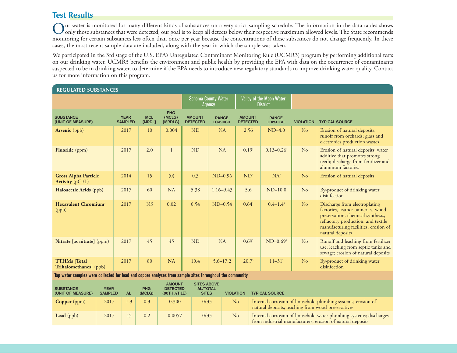## **Test Results**

Our water is monitored for many different kinds of substances on a very strict sampling schedule. The information in the data tables shows<br>Ourly those substances that were detected; our goal is to keep all detects below th monitoring for certain substances less often than once per year because the concentrations of these substances do not change frequently. In these cases, the most recent sample data are included, along with the year in which the sample was taken.

We participated in the 3rd stage of the U.S. EPA's Unregulated Contaminant Monitoring Rule (UCMR3) program by performing additional tests on our drinking water. UCMR3 benefits the environment and public health by providing the EPA with data on the occurrence of contaminants suspected to be in drinking water, to determine if the EPA needs to introduce new regulatory standards to improve drinking water quality. Contact us for more information on this program.

#### **REGULATED SUBSTANCES**

|                                                        |                               |                      |                                 |                                  | <b>Sonoma County Water</b><br>Agency | Valley of the Moon Water<br><b>District</b> |                          |                  |                                                                                                                                                                                                            |
|--------------------------------------------------------|-------------------------------|----------------------|---------------------------------|----------------------------------|--------------------------------------|---------------------------------------------|--------------------------|------------------|------------------------------------------------------------------------------------------------------------------------------------------------------------------------------------------------------------|
| <b>SUBSTANCE</b><br>(UNIT OF MEASURE)                  | <b>YEAR</b><br><b>SAMPLED</b> | <b>MCL</b><br>[MRDL] | <b>PHG</b><br>(MCLG)<br>[MRDLG] | <b>AMOUNT</b><br><b>DETECTED</b> | <b>RANGE</b><br>LOW-HIGH             | <b>AMOUNT</b><br><b>DETECTED</b>            | <b>RANGE</b><br>LOW-HIGH | <b>VIOLATION</b> | <b>TYPICAL SOURCE</b>                                                                                                                                                                                      |
| <b>Arsenic</b> (ppb)                                   | 2017                          | 10                   | 0.004                           | ND                               | <b>NA</b>                            | 2.56                                        | $ND-4.0$                 | N <sub>o</sub>   | Erosion of natural deposits;<br>runoff from orchards; glass and<br>electronics production wastes                                                                                                           |
| Fluoride (ppm)                                         | 2017                          | 2.0                  | $\mathbf{1}$                    | <b>ND</b>                        | <b>NA</b>                            | 0.19 <sup>1</sup>                           | $0.13 - 0.26$            | No               | Erosion of natural deposits; water<br>additive that promotes strong<br>teeth; discharge from fertilizer and<br>aluminum factories                                                                          |
| <b>Gross Alpha Particle</b><br><b>Activity</b> (pCi/L) | 2014                          | 15                   | (0)                             | 0.3                              | $ND-0.96$                            | ND <sup>2</sup>                             | $NA^2$                   | No               | Erosion of natural deposits                                                                                                                                                                                |
| Haloacetic Acids (ppb)                                 | 2017                          | 60                   | NA                              | 5.38                             | $1.16 - 9.43$                        | 5.6                                         | $ND-10.0$                | N <sub>o</sub>   | By-product of drinking water<br>disinfection                                                                                                                                                               |
| <b>Hexavalent Chromium</b> <sup>3</sup><br>(ppb)       | 2017                          | <b>NS</b>            | 0.02                            | 0.54                             | $ND-0.54$                            | 0.644                                       | $0.4 - 1.4$ <sup>4</sup> | No               | Discharge from electroplating<br>factories, leather tanneries, wood<br>preservation, chemical synthesis,<br>refractory production, and textile<br>manufacturing facilities; erosion of<br>natural deposits |
| Nitrate [as nitrate] (ppm)                             | 2017                          | 45                   | 45                              | <b>ND</b>                        | <b>NA</b>                            | 0.69 <sup>5</sup>                           | $ND-0.69$ <sup>5</sup>   | No               | Runoff and leaching from fertilizer<br>use; leaching from septic tanks and<br>sewage; erosion of natural deposits                                                                                          |
| <b>TTHMs</b> [Total<br>Trihalomethanes] (ppb)          | 2017                          | 80                   | <b>NA</b>                       | 10.4                             | $5.6 - 17.2$                         | $20.7^5$                                    | $11 - 31^{5}$            | N <sub>o</sub>   | By-product of drinking water<br>disinfection                                                                                                                                                               |

**Tap water samples were collected for lead and copper analyses from sample sites throughout the community**

| <b>SUBSTANCE</b><br>(UNIT OF MEASURE) | <b>YEAR</b><br><b>SAMPLED</b> | <b>AL</b> | <b>PHG</b><br>(MCLG) | <b>AMOUNT</b><br><b>DETECTED</b><br>$(90TH%$ TILE) | <b>SITES ABOVE</b><br><b>AL/TOTAL</b><br><b>SITES</b> | <b>VIOLATION</b> | <b>TYPICAL SOURCE</b>                                                                                                            |
|---------------------------------------|-------------------------------|-----------|----------------------|----------------------------------------------------|-------------------------------------------------------|------------------|----------------------------------------------------------------------------------------------------------------------------------|
| <b>Copper</b> ( $ppm$ )               | 2017                          | 1.3       | 0.3                  | 0.300                                              | 0/33                                                  | N <sub>o</sub>   | Internal corrosion of household plumbing systems; erosion of<br>natural deposits; leaching from wood preservatives               |
| <b>Lead</b> (ppb)                     | 2017                          |           | 0.2                  | 0.0057                                             | 0/33                                                  | N <sub>o</sub>   | Internal corrosion of household water plumbing systems; discharges<br>from industrial manufacturers; erosion of natural deposits |